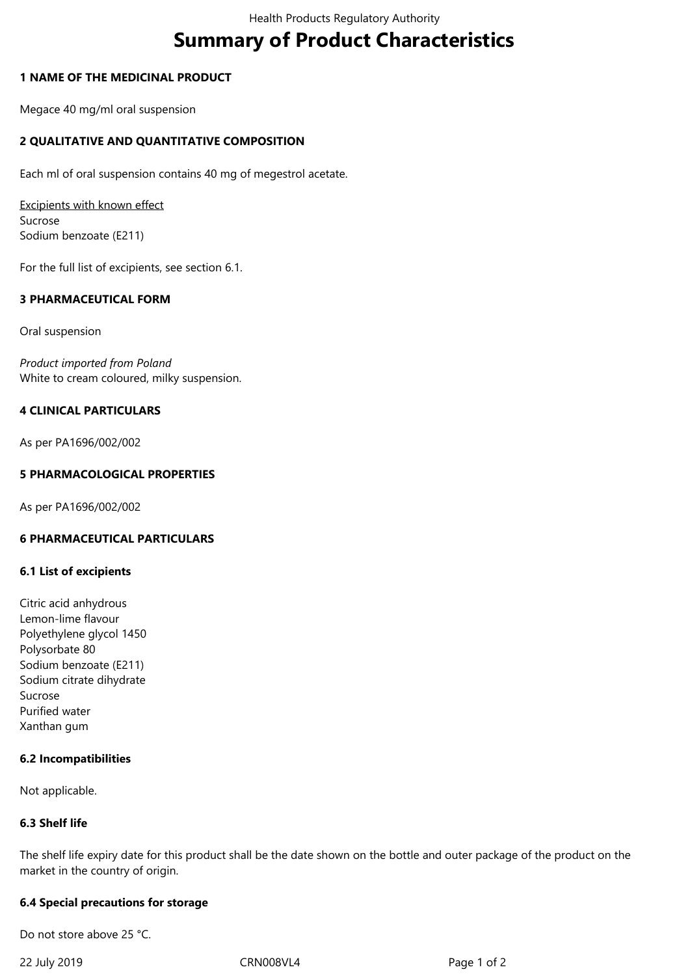# **Summary of Product Characteristics**

## **1 NAME OF THE MEDICINAL PRODUCT**

Megace 40 mg/ml oral suspension

# **2 QUALITATIVE AND QUANTITATIVE COMPOSITION**

Each ml of oral suspension contains 40 mg of megestrol acetate.

Excipients with known effect Sucrose Sodium benzoate (E211)

For the full list of excipients, see section 6.1.

#### **3 PHARMACEUTICAL FORM**

Oral suspension

*Product imported from Poland*  White to cream coloured, milky suspension.

#### **4 CLINICAL PARTICULARS**

As per PA1696/002/002

#### **5 PHARMACOLOGICAL PROPERTIES**

As per PA1696/002/002

## **6 PHARMACEUTICAL PARTICULARS**

#### **6.1 List of excipients**

Citric acid anhydrous Lemon-lime flavour Polyethylene glycol 1450 Polysorbate 80 Sodium benzoate (E211) Sodium citrate dihydrate Sucrose Purified water Xanthan gum

#### **6.2 Incompatibilities**

Not applicable.

#### **6.3 Shelf life**

The shelf life expiry date for this product shall be the date shown on the bottle and outer package of the product on the market in the country of origin.

#### **6.4 Special precautions for storage**

Do not store above 25 °C.

22 July 2019 CRN008VL4 Page 1 of 2